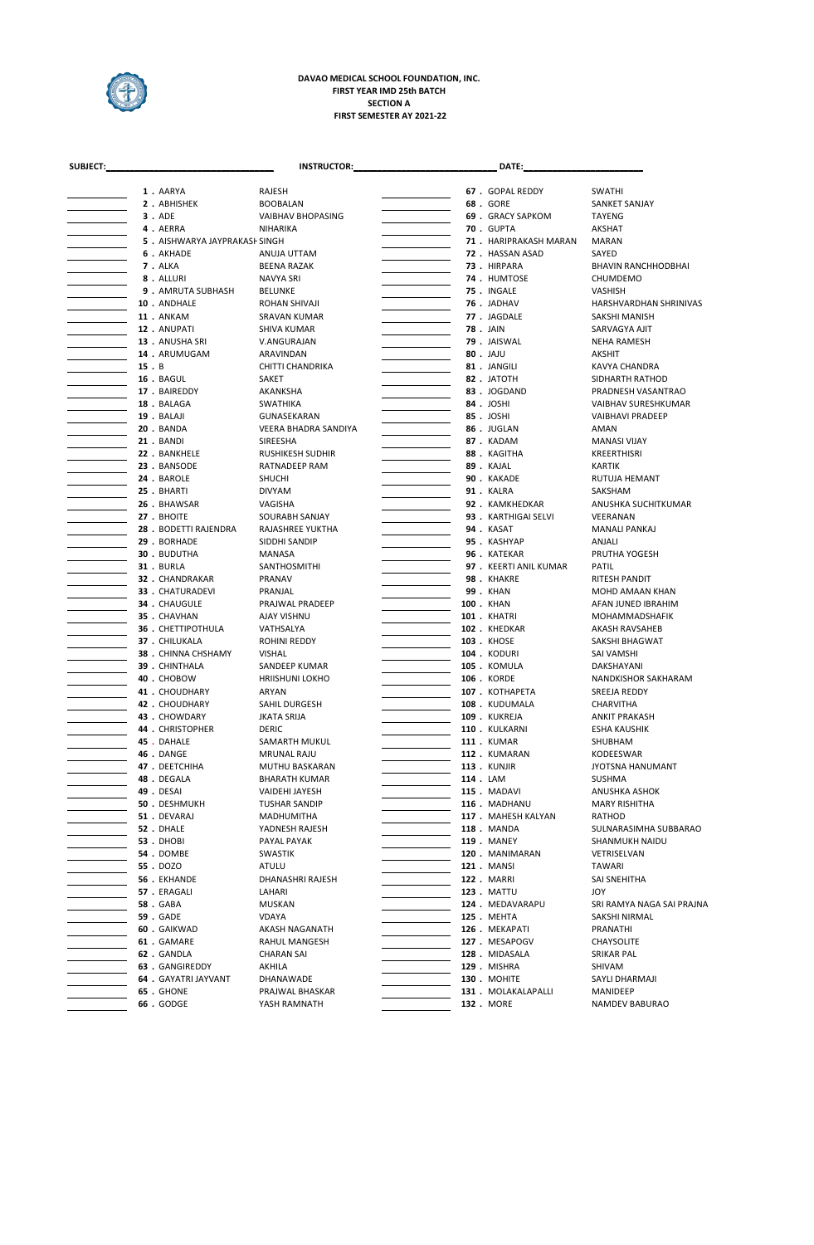

## **FIRST SEMESTER AY 2021-22 DAVAO MEDICAL SCHOOL FOUNDATION, INC. FIRST YEAR IMD 25th BATCH SECTION A**

| SUBJECT: |      |                               | <b>INSTRUCTOR:</b>                  |  | DATE:                             |                                  |
|----------|------|-------------------------------|-------------------------------------|--|-----------------------------------|----------------------------------|
|          |      | 1. AARYA                      | RAJESH                              |  | 67 . GOPAL REDDY                  | <b>SWATHI</b>                    |
|          |      | 2. ABHISHEK                   | <b>BOOBALAN</b>                     |  | 68. GORE                          | <b>SANKET SANJAY</b>             |
|          |      | 3. ADE                        | VAIBHAV BHOPASING                   |  | 69 . GRACY SAPKOM                 | TAYENG                           |
|          |      | 4. AERRA                      | NIHARIKA                            |  | <b>70. GUPTA</b>                  | AKSHAT                           |
|          |      | 5. AISHWARYA JAYPRAKASI SINGH |                                     |  | 71 . HARIPRAKASH MARAN            | <b>MARAN</b>                     |
|          |      | 6. AKHADE                     | ANUJA UTTAM                         |  | 72. HASSAN ASAD                   | SAYED                            |
|          |      | 7. ALKA                       | BEENA RAZAK                         |  | 73. HIRPARA                       | <b>BHAVIN RANCHHODBHAI</b>       |
|          |      | 8. ALLURI                     | NAVYA SRI                           |  | 74 . HUMTOSE                      | CHUMDEMO                         |
|          |      | 9. AMRUTA SUBHASH             | <b>BELUNKE</b>                      |  | 75. INGALE                        | VASHISH                          |
|          |      | 10 . ANDHALE                  | ROHAN SHIVAJI                       |  | 76. JADHAV                        | HARSHVARDHAN SHRINIVAS           |
|          |      | 11 . ANKAM                    | <b>SRAVAN KUMAR</b>                 |  | 77. JAGDALE                       | SAKSHI MANISH                    |
|          |      | 12. ANUPATI                   | SHIVA KUMAR                         |  | <b>78. JAIN</b>                   | SARVAGYA AJIT                    |
|          |      | 13. ANUSHA SRI                | V.ANGURAJAN                         |  | 79. JAISWAL                       | NEHA RAMESH                      |
|          |      | 14 . ARUMUGAM                 | ARAVINDAN                           |  | 80. JAJU                          | AKSHIT                           |
|          | 15.B |                               | CHITTI CHANDRIKA                    |  | 81. JANGILI                       | KAVYA CHANDRA                    |
|          |      | 16 . BAGUL                    | SAKET                               |  | 82. JATOTH                        | SIDHARTH RATHOD                  |
|          |      | 17 . BAIREDDY                 | AKANKSHA                            |  | 83. JOGDAND                       | PRADNESH VASANTRAO               |
|          |      | 18. BALAGA                    | <b>SWATHIKA</b>                     |  | 84. JOSHI                         | VAIBHAV SURESHKUMAR              |
|          |      | 19 . BALAJI                   | GUNASEKARAN                         |  | 85. JOSHI                         | <b>VAIBHAVI PRADEEP</b>          |
|          |      | <b>20. BANDA</b>              | VEERA BHADRA SANDIYA                |  | 86. JUGLAN                        | AMAN                             |
|          |      | 21. BANDI                     | SIREESHA                            |  | 87. KADAM                         | MANASI VIJAY                     |
|          |      | 22 . BANKHELE                 | <b>RUSHIKESH SUDHIR</b>             |  | 88. KAGITHA                       | <b>KREERTHISRI</b>               |
|          |      | 23 . BANSODE                  | RATNADEEP RAM                       |  | 89. KAJAL                         | KARTIK                           |
|          |      | 24 . BAROLE                   | <b>SHUCHI</b>                       |  | 90. KAKADE                        | RUTUJA HEMANT                    |
|          |      | 25. BHARTI                    | <b>DIVYAM</b>                       |  | 91. KALRA                         | SAKSHAM                          |
|          |      | 26. BHAWSAR                   | VAGISHA                             |  | 92. KAMKHEDKAR                    | ANUSHKA SUCHITKUMAR              |
|          |      | 27 . BHOITE                   | SOURABH SANJAY                      |  | 93 . KARTHIGAI SELVI              | VEERANAN                         |
|          |      | 28 . BODETTI RAJENDRA         | RAJASHREE YUKTHA                    |  | <b>94. KASAT</b>                  | MANALI PANKAJ                    |
|          |      | 29. BORHADE                   | SIDDHI SANDIP                       |  | 95. KASHYAP                       | ANJALI                           |
|          |      | 30. BUDUTHA                   | MANASA                              |  | 96. KATEKAR                       | PRUTHA YOGESH                    |
|          |      | 31. BURLA                     | SANTHOSMITHI                        |  | 97 . KEERTI ANIL KUMAR            | PATIL                            |
|          |      | 32. CHANDRAKAR                | PRANAV                              |  | <b>98. KHAKRE</b>                 | RITESH PANDIT                    |
|          |      | 33 . CHATURADEVI              | PRANJAL                             |  | <b>99. KHAN</b>                   | MOHD AMAAN KHAN                  |
|          |      | 34. CHAUGULE                  | PRAJWAL PRADEEP                     |  | 100 . KHAN                        | AFAN JUNED IBRAHIM               |
|          |      | 35. CHAVHAN                   | AJAY VISHNU                         |  | <b>101 . KHATRI</b>               |                                  |
|          |      | <b>36 . CHETTIPOTHULA</b>     | VATHSALYA                           |  | 102. KHEDKAR                      | MOHAMMADSHAFIK<br>AKASH RAVSAHEB |
|          |      | 37 . CHILUKALA                |                                     |  | <b>103 . KHOSE</b>                | SAKSHI BHAGWAT                   |
|          |      | 38 . CHINNA CHSHAMY           | ROHINI REDDY<br><b>VISHAL</b>       |  | <b>104. KODURI</b>                | SAI VAMSHI                       |
|          |      |                               |                                     |  |                                   | DAKSHAYANI                       |
|          |      | 39. CHINTHALA<br>40. CHOBOW   | SANDEEP KUMAR                       |  | 105 . KOMULA<br><b>106. KORDE</b> |                                  |
|          |      | 41 . CHOUDHARY                | <b>HRIISHUNI LOKHO</b>              |  |                                   | NANDKISHOR SAKHARAM              |
|          |      |                               | ARYAN                               |  | 107 . KOTHAPETA                   | SREEJA REDDY                     |
|          |      | 42 . CHOUDHARY                | SAHIL DURGESH<br><b>JKATA SRIJA</b> |  | 108 . KUDUMALA                    | CHARVITHA                        |
|          |      | 43 . CHOWDARY                 |                                     |  | <b>109</b> . KUKREJA              | ANKIT PRAKASH                    |
|          |      | 44 . CHRISTOPHER              | DERIC                               |  | 110 . KULKARNI                    | ESHA KAUSHIK                     |
|          |      | 45. DAHALE                    | SAMARTH MUKUL                       |  | <b>111 . KUMAR</b>                | SHUBHAM                          |
|          |      | 46. DANGE                     | <b>MRUNAL RAJU</b>                  |  | 112 . KUMARAN                     | KODEESWAR                        |
|          |      | 47 . DEETCHIHA                | MUTHU BASKARAN                      |  | <b>113</b> . KUNJIR               | JYOTSNA HANUMANT                 |
|          |      | 48. DEGALA                    | <b>BHARATH KUMAR</b>                |  | 114 . LAM                         | <b>SUSHMA</b>                    |
|          |      | 49 . DESAI                    | VAIDEHI JAYESH                      |  | 115. MADAVI                       | ANUSHKA ASHOK                    |
|          |      | 50. DESHMUKH                  | <b>TUSHAR SANDIP</b>                |  | 116 . MADHANU                     | <b>MARY RISHITHA</b>             |
|          |      | 51 . DEVARAJ                  | MADHUMITHA                          |  | 117 . MAHESH KALYAN               | RATHOD                           |
|          |      | 52. DHALE                     | YADNESH RAJESH                      |  | 118 . MANDA                       | SULNARASIMHA SUBBARAO            |
|          |      | <b>53. DHOBI</b>              | PAYAL PAYAK                         |  | <b>119 . MANEY</b>                | SHANMUKH NAIDU                   |
|          |      | 54. DOMBE                     | <b>SWASTIK</b>                      |  | 120 . MANIMARAN                   | VETRISELVAN                      |
|          |      | 55. DOZO                      | ATULU                               |  | <b>121. MANSI</b>                 | <b>TAWARI</b>                    |
|          |      | 56 . EKHANDE                  | DHANASHRI RAJESH                    |  | <b>122 . MARRI</b>                | SAI SNEHITHA                     |
|          |      | 57 . ERAGALI                  | LAHARI                              |  | <b>123. MATTU</b>                 | <b>JOY</b>                       |
|          |      | 58. GABA                      | MUSKAN                              |  | 124 . MEDAVARAPU                  | SRI RAMYA NAGA SAI PRAJNA        |
|          |      | <b>59. GADE</b>               | <b>VDAYA</b>                        |  | <b>125. MEHTA</b>                 | SAKSHI NIRMAL                    |
|          |      | 60. GAIKWAD                   | AKASH NAGANATH                      |  | 126 . MEKAPATI                    | PRANATHI                         |
|          |      | 61. GAMARE                    | RAHUL MANGESH                       |  | 127 . MESAPOGV                    | CHAYSOLITE                       |
|          |      | 62. GANDLA                    | <b>CHARAN SAI</b>                   |  | 128 . MIDASALA                    | SRIKAR PAL                       |
|          |      | 63 . GANGIREDDY               | AKHILA                              |  | 129 . MISHRA                      | SHIVAM                           |
|          |      | 64 . GAYATRI JAYVANT          | DHANAWADE                           |  | <b>130 . MOHITE</b>               | SAYLI DHARMAJI                   |
|          |      | 65. GHONE                     | PRAJWAL BHASKAR                     |  | 131 . MOLAKALAPALLI               | MANIDEEP                         |
|          |      | 66. GODGE                     | YASH RAMNATH                        |  | 132 . MORE                        | NAMDEV BABURAO                   |